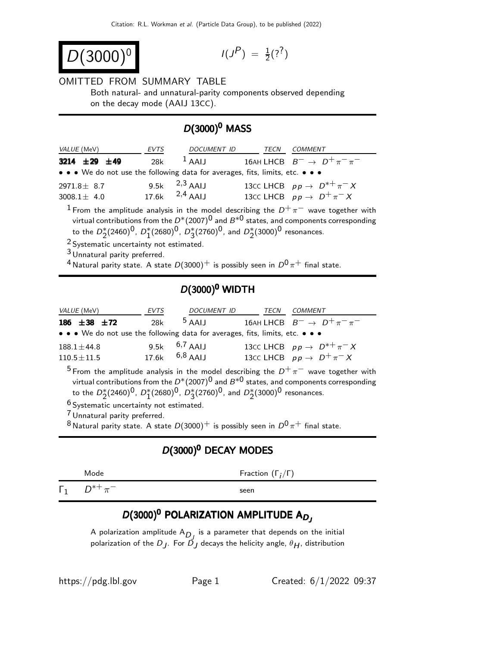$$
D(3000)^{0}
$$

$$
I(J^P) \; = \; \tfrac{1}{2} ( ?^? )
$$

#### OMITTED FROM SUMMARY TABLE

Both natural- and unnatural-parity components observed depending on the decay mode (AAIJ 13CC).

## $D(3000)^0$  MASS

| <i>VALUE</i> (MeV)                                                            | EVTS | <b>DOCUMENT ID</b>  | TECN | COMMENT                                  |
|-------------------------------------------------------------------------------|------|---------------------|------|------------------------------------------|
| 3214 $\pm 29$ $\pm 49$                                                        | 28k  | $1$ AAIJ            |      | 16AH LHCB $B^-\to D^+\pi^-\pi^-$         |
| • • • We do not use the following data for averages, fits, limits, etc. • • • |      |                     |      |                                          |
| $2971.8 + 8.7$                                                                |      | 9.5k $^{2,3}$ AAIJ  |      | 13CC LHCB $pp \rightarrow D^{*+}\pi^- X$ |
| $3008.1 + 4.0$                                                                |      | 17.6k $^{2,4}$ AAIJ |      | 13cc LHCB $pp \rightarrow D^+\pi^- X$    |

 $1$  From the amplitude analysis in the model describing the  $D^+\pi^-$  wave together with virtual contributions from the  $D^*(2007)^0$  and  $B^{*0}$  states, and components corresponding to the  $D_2^*(2460)^0$ ,  $D_1^*(2680)^0$ ,  $D_3^*(2760)^0$ , and  $D_2^*(3000)^0$  resonances.

2 Systematic uncertainty not estimated.

<sup>3</sup> Unnatural parity preferred.

<sup>4</sup> Natural parity state. A state  $D(3000)^+$  is possibly seen in  $D^0 \pi^+$  final state.

### $D(3000)^0$  WIDTH

| <i>VALUE</i> (MeV)                                                            | EVTS               | DOCUMENT ID     | TECN | <i>COMMENT</i>                            |
|-------------------------------------------------------------------------------|--------------------|-----------------|------|-------------------------------------------|
| 186 $\pm 38$ $\pm 72$                                                         | 28k                | $5$ AAIJ        |      | 16AH LHCB $B^- \rightarrow D^+\pi^-\pi^-$ |
| • • • We do not use the following data for averages, fits, limits, etc. • • • |                    |                 |      |                                           |
| $188.1 + 44.8$                                                                |                    | $9.5k$ 6,7 AALL |      | 13CC LHCB $pp \rightarrow D^{*+}\pi^- X$  |
| $110.5 \pm 11.5$                                                              | $17.6k$ $6.8$ AALI |                 |      | 13cc LHCB $pp \rightarrow D^+\pi^- X$     |

5 From the amplitude analysis in the model describing the  $D^+\pi^-$  wave together with virtual contributions from the  $D^*(2007)^0$  and  $B^{*0}$  states, and components corresponding to the  $D_2^*(2460)^0$ ,  $D_1^*(2680)^0$ ,  $D_3^*(2760)^0$ , and  $D_2^*(3000)^0$  resonances.

6 Systematic uncertainty not estimated.

7 Unnatural parity preferred.

<sup>8</sup> Natural parity state. A state  $D(3000)^+$  is possibly seen in  $D^0\pi^+$  final state.

#### D(3000)<sup>0</sup> DECAY MODES

|            | Mode          | Fraction $(\Gamma_i/\Gamma)$ |
|------------|---------------|------------------------------|
| $\Gamma_1$ | $D^{*+}\pi^-$ | seen                         |

# $D(3000)^{\mathbf{0}}$  POLARIZATION AMPLITUDE A $D_{\mathbf{0}}$

A polarization amplitude  $A_{\textit{D}_{\textit{J}}}$  is a parameter that depends on the initial polarization of the  $D_{\boldsymbol{J}}.$  For  $\bar{D}_{\boldsymbol{J}}$  decays the helicity angle,  $\theta_{\boldsymbol{H}}.$  distribution